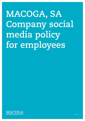# **MACOGA, SA Company social media policy for employees**

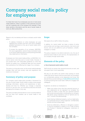# **Company social media policy for employees**

It is likely that most of our employees use one or more social media platforms. What is posted on their personal accounts can be a potential risk to the company (for example, if they share sensitive information) and the use of social media at work can affect productivity.

Reasons why we develop and issue a company social media policy:

- To address limitations on what employees can post regarding the company and their work and to establish possible restrictions on the use of social media within the workplace.
- To protect the reputation of our company. MACOGA, S.A. as an organisation, wants to have a consistent voice on its social media and wants to avoid posting potentially risky statements or information.

Employees own their social media profiles, so MACOGA, S.A. cannot restrict what they post on social media. However, it can provide them with reasonable guidelines on what they should not publish (e.g. confidential data) and thus prevent their publications from affecting the image of our company.

This policy is a living document, as the social media landscape changes often and new privacy rules and regulations and trends are introduced.

### **Summary of policy and purpose**

Our company social media policy provides a framework for the use of social media. Social media is a place where people exchange information, opinions and experiences to learn, develop and have fun. Whether you manage a corporate account or use your own, you should be productive and avoid damaging the company in any way.

This policy provides practical advice on how to avoid problems that can arise from careless use of social media in the workplace.

#### **Scope**

We expect all our staff to follow this policy.

In addition, by 'social media' we mean a variety of online communities such as blogs, social networks, chat rooms and forums, and not just platforms such as Facebook, LinkedIn, Instagram or Twitter.

This policy is based on two distinct elements: one, the use of personal social media at work and two, the representation of our company through social media.

## **Elements of the policy**

#### **a. Use of personal social media at work**

Staff should not access their personal accounts at work, and we expect them to act responsibly.

We also our ask staff to be careful when posting on social media. We cannot restrict what you post there, but we expect our confidentiality policies to be respected at all times. We also ask that you avoid violating our [Code of Ethics and Conduct](https://www.macoga.com/documents/en/MACOGA_Code_of_Ethics.pdf) or posting anything that could make it difficult to engage with colleagues.

In general, we advise our employees to:

- Make sure others know that their personal account or your statements do not represent our company. You should not state or imply that your personal opinions and content are authorised or endorsed by our company. We advise using a disclaimer such as "opinions are my own" to avoid misunderstandings.
- Avoid sharing intellectual property, such as trademarks, on a personal account without approval. Confidentiality policies and laws always apply.
- Avoid any defamatory, offensive or derogatory content. It may be considered a violation of our Code of Ethics and Conduct if directed at colleagues, customers or partners.